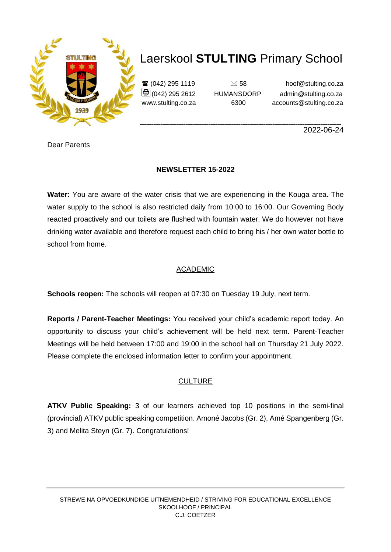

 $\mathbf{\widehat{a}}$  (042) 295 1119  $\Box$  58 hoof@stulting.co.za  $\bigcirc$  (042) 295 2612 HUMANSDORP admin@stulting.co.za www.stulting.co.za 6300 accounts@stulting.co.za

**\_\_\_\_\_\_\_\_\_\_\_\_\_\_\_\_\_\_\_\_\_\_\_\_\_\_\_\_\_\_\_\_\_\_\_\_\_\_\_\_\_\_\_\_\_\_\_\_\_\_\_\_\_\_\_\_\_\_\_\_\_\_\_\_\_\_\_\_\_\_\_\_\_\_\_\_\_\_\_\_\_\_\_\_\_\_\_\_** 2022-06-24

Dear Parents

#### **NEWSLETTER 15-2022**

**Water:** You are aware of the water crisis that we are experiencing in the Kouga area. The water supply to the school is also restricted daily from 10:00 to 16:00. Our Governing Body reacted proactively and our toilets are flushed with fountain water. We do however not have drinking water available and therefore request each child to bring his / her own water bottle to school from home.

#### ACADEMIC

**Schools reopen:** The schools will reopen at 07:30 on Tuesday 19 July, next term.

**Reports / Parent-Teacher Meetings:** You received your child's academic report today. An opportunity to discuss your child's achievement will be held next term. Parent-Teacher Meetings will be held between 17:00 and 19:00 in the school hall on Thursday 21 July 2022. Please complete the enclosed information letter to confirm your appointment.

#### **CULTURE**

**ATKV Public Speaking:** 3 of our learners achieved top 10 positions in the semi-final (provincial) ATKV public speaking competition. Amoné Jacobs (Gr. 2), Amé Spangenberg (Gr. 3) and Melita Steyn (Gr. 7). Congratulations!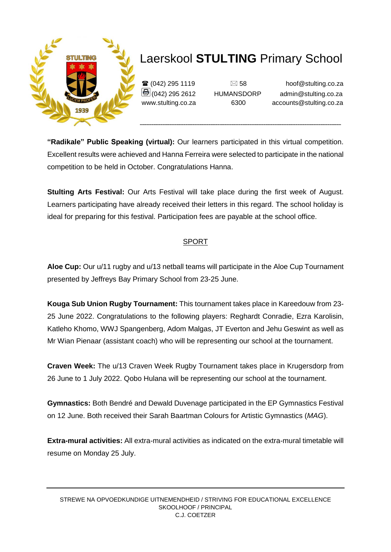

 $\mathbf{\widehat{a}}$  (042) 295 1119  $\Box$  58 hoof@stulting.co.za **■ (042) 295 2612** HUMANSDORP admin@stulting.co.za www.stulting.co.za 6300 accounts@stulting.co.za

**"Radikale" Public Speaking (virtual):** Our learners participated in this virtual competition. Excellent results were achieved and Hanna Ferreira were selected to participate in the national competition to be held in October. Congratulations Hanna.

**Stulting Arts Festival:** Our Arts Festival will take place during the first week of August. Learners participating have already received their letters in this regard. The school holiday is ideal for preparing for this festival. Participation fees are payable at the school office.

#### SPORT

**Aloe Cup:** Our u/11 rugby and u/13 netball teams will participate in the Aloe Cup Tournament presented by Jeffreys Bay Primary School from 23-25 June.

**Kouga Sub Union Rugby Tournament:** This tournament takes place in Kareedouw from 23- 25 June 2022. Congratulations to the following players: Reghardt Conradie, Ezra Karolisin, Katleho Khomo, WWJ Spangenberg, Adom Malgas, JT Everton and Jehu Geswint as well as Mr Wian Pienaar (assistant coach) who will be representing our school at the tournament.

**Craven Week:** The u/13 Craven Week Rugby Tournament takes place in Krugersdorp from 26 June to 1 July 2022. Qobo Hulana will be representing our school at the tournament.

**Gymnastics:** Both Bendré and Dewald Duvenage participated in the EP Gymnastics Festival on 12 June. Both received their Sarah Baartman Colours for Artistic Gymnastics (*MAG*).

**Extra-mural activities:** All extra-mural activities as indicated on the extra-mural timetable will resume on Monday 25 July.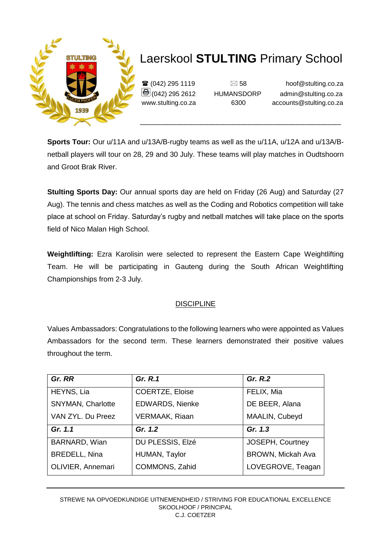

 $\mathbf{\hat{\mathbf{x}}}$  (042) 295 1119  $\Box$  58 hoof@stulting.co.za  $\bigcirc$  (042) 295 2612 HUMANSDORP admin@stulting.co.za www.stulting.co.za 6300 accounts@stulting.co.za

**Sports Tour:** Our u/11A and u/13A/B-rugby teams as well as the u/11A, u/12A and u/13A/Bnetball players will tour on 28, 29 and 30 July. These teams will play matches in Oudtshoorn and Groot Brak River.

**Stulting Sports Day:** Our annual sports day are held on Friday (26 Aug) and Saturday (27 Aug). The tennis and chess matches as well as the Coding and Robotics competition will take place at school on Friday. Saturday's rugby and netball matches will take place on the sports field of Nico Malan High School.

**Weightlifting:** Ezra Karolisin were selected to represent the Eastern Cape Weightlifting Team. He will be participating in Gauteng during the South African Weightlifting Championships from 2-3 July.

### DISCIPLINE

Values Ambassadors: Congratulations to the following learners who were appointed as Values Ambassadors for the second term. These learners demonstrated their positive values throughout the term.

| Gr. RR                   | Gr. R.1                | Gr. R.2                  |
|--------------------------|------------------------|--------------------------|
| HEYNS, Lia               | <b>COERTZE, Eloise</b> | FELIX, Mia               |
| <b>SNYMAN, Charlotte</b> | <b>EDWARDS, Nienke</b> | DE BEER, Alana           |
| VAN ZYL. Du Preez        | <b>VERMAAK, Riaan</b>  | MAALIN, Cubeyd           |
| Gr. 1.1                  | Gr. 1.2                | Gr. 1.3                  |
| BARNARD, Wian            | DU PLESSIS, Elzé       | JOSEPH, Courtney         |
| <b>BREDELL, Nina</b>     | HUMAN, Taylor          | <b>BROWN, Mickah Ava</b> |
| OLIVIER, Annemari        | COMMONS, Zahid         | LOVEGROVE, Teagan        |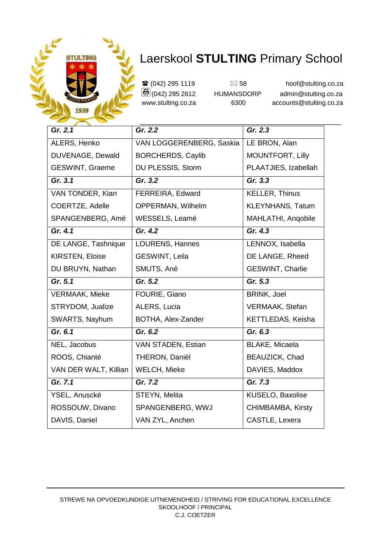

**a** (042) 295 1119  $\approx$  58 hoof@stulting.co.za<br>  $\bigoplus$  (042) 295 2612 HUMANSDORP admin@stulting.co.za **(<del>5</del>** (042) 295 2612 HUMANSDORP admin@stulting.co.za<br>www.stulting.co.za 6300 accounts@stulting.co.za www.stulting.co.za 6300 accounts@stulting.co.za

| Gr. 2.1                | Gr. 2.2                  | Gr. 2.3                 |
|------------------------|--------------------------|-------------------------|
| ALERS, Henko           | VAN LOGGERENBERG, Saskia | LE BRON, Alan           |
| DUVENAGE, Dewald       | <b>BORCHERDS, Caylib</b> | MOUNTFORT, Lilly        |
| <b>GESWINT, Graeme</b> | DU PLESSIS, Storm        | PLAATJIES, Izabellah    |
| Gr. 3.1                | Gr. 3.2                  | Gr. 3.3                 |
| VAN TONDER, Kian       | FERREIRA, Edward         | <b>KELLER, Thinus</b>   |
| COERTZE, Adelle        | OPPERMAN, Wilhelm        | <b>KLEYNHANS, Tatum</b> |
| SPANGENBERG, Amé       | WESSELS, Leamé           | MAHLATHI, Angobile      |
| Gr. 4.1                | Gr. 4.2                  | Gr. 4.3                 |
| DE LANGE, Tashnique    | LOURENS, Hannes          | LENNOX, Isabella        |
| <b>KIRSTEN, Eloise</b> | GESWINT, Leila           | DE LANGE, Rheed         |
| DU BRUYN, Nathan       | SMUTS, Ané               | <b>GESWINT, Charlie</b> |
| Gr. 5.1                | Gr. 5.2                  | Gr. 5.3                 |
| <b>VERMAAK, Mieke</b>  | FOURIE, Giano            | <b>BRINK, Joel</b>      |
| STRYDOM, Jualize       | ALERS, Lucia             | VERMAAK, Stefan         |
| SWARTS, Nayhum         | BOTHA, Alex-Zander       | KETTLEDAS, Keisha       |
| Gr. 6.1                | Gr. 6.2                  | Gr. 6.3                 |
| NEL, Jacobus           | VAN STADEN, Estian       | <b>BLAKE, Micaela</b>   |
| ROOS, Chianté          | THERON, Daniël           | BEAUZICK, Chad          |
| VAN DER WALT, Killian  | WELCH, Mieke             | DAVIES, Maddox          |
| Gr. 7.1                | $\overline{G}$ r. 7.2    | $\overline{Gr.}$ 7.3    |
| YSEL, Anuscké          | STEYN, Melita            | KUSELO, Baxolise        |
| ROSSOUW, Divano        | SPANGENBERG, WWJ         | CHIMBAMBA, Kirsty       |
| DAVIS, Daniel          | VAN ZYL, Anchen          | CASTLE, Lexera          |
|                        |                          |                         |